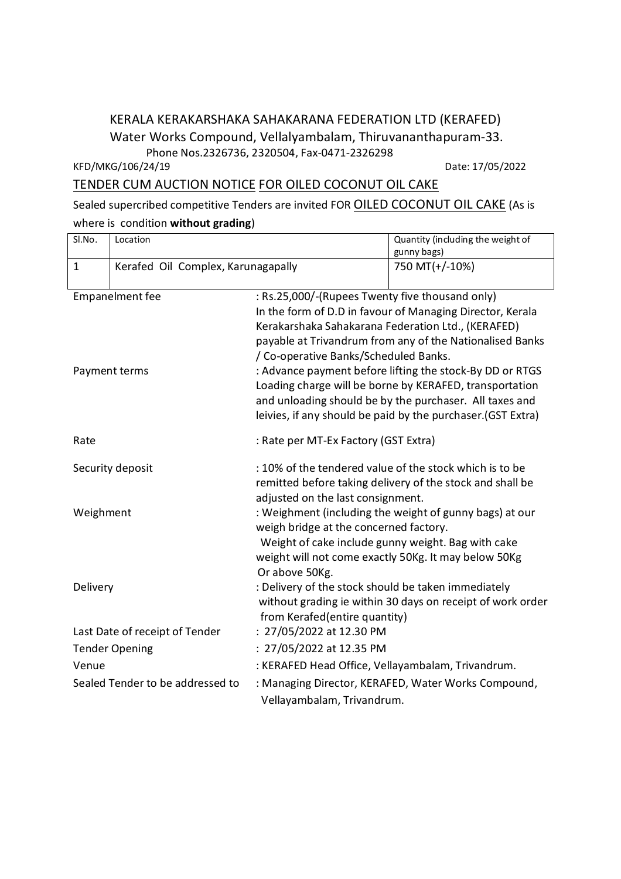## KERALA KERAKARSHAKA SAHAKARANA FEDERATION LTD (KERAFED) Water Works Compound, Vellalyambalam, Thiruvananthapuram-33. Phone Nos.2326736, 2320504, Fax-0471-2326298

KFD/MKG/106/24/19 Date: 17/05/2022

## TENDER CUM AUCTION NOTICE FOR OILED COCONUT OIL CAKE

Sealed supercribed competitive Tenders are invited FOR **OILED COCONUT OIL CAKE** (As is where is condition **without grading**)

| Sl.No.                           | Location                           |                                                                                                                     | Quantity (including the weight of<br>gunny bags)           |
|----------------------------------|------------------------------------|---------------------------------------------------------------------------------------------------------------------|------------------------------------------------------------|
| $\mathbf{1}$                     | Kerafed Oil Complex, Karunagapally |                                                                                                                     | 750 MT(+/-10%)                                             |
| Empanelment fee                  |                                    | : Rs.25,000/-(Rupees Twenty five thousand only)                                                                     |                                                            |
|                                  |                                    |                                                                                                                     | In the form of D.D in favour of Managing Director, Kerala  |
|                                  |                                    | Kerakarshaka Sahakarana Federation Ltd., (KERAFED)                                                                  |                                                            |
|                                  |                                    |                                                                                                                     | payable at Trivandrum from any of the Nationalised Banks   |
|                                  |                                    | / Co-operative Banks/Scheduled Banks.                                                                               |                                                            |
| Payment terms                    |                                    | : Advance payment before lifting the stock-By DD or RTGS<br>Loading charge will be borne by KERAFED, transportation |                                                            |
|                                  |                                    | and unloading should be by the purchaser. All taxes and                                                             |                                                            |
|                                  |                                    | leivies, if any should be paid by the purchaser. (GST Extra)                                                        |                                                            |
|                                  |                                    |                                                                                                                     |                                                            |
| Rate                             |                                    | : Rate per MT-Ex Factory (GST Extra)                                                                                |                                                            |
| Security deposit                 |                                    | : 10% of the tendered value of the stock which is to be                                                             |                                                            |
|                                  |                                    |                                                                                                                     | remitted before taking delivery of the stock and shall be  |
|                                  |                                    | adjusted on the last consignment.                                                                                   |                                                            |
| Weighment                        |                                    | : Weighment (including the weight of gunny bags) at our                                                             |                                                            |
|                                  |                                    | weigh bridge at the concerned factory.                                                                              |                                                            |
|                                  |                                    | Weight of cake include gunny weight. Bag with cake                                                                  |                                                            |
|                                  |                                    | weight will not come exactly 50Kg. It may below 50Kg<br>Or above 50Kg.                                              |                                                            |
| Delivery                         |                                    | : Delivery of the stock should be taken immediately                                                                 |                                                            |
|                                  |                                    |                                                                                                                     | without grading ie within 30 days on receipt of work order |
|                                  |                                    | from Kerafed(entire quantity)                                                                                       |                                                            |
| Last Date of receipt of Tender   |                                    | : 27/05/2022 at 12.30 PM                                                                                            |                                                            |
| <b>Tender Opening</b>            |                                    | : 27/05/2022 at 12.35 PM                                                                                            |                                                            |
| Venue                            |                                    | : KERAFED Head Office, Vellayambalam, Trivandrum.                                                                   |                                                            |
| Sealed Tender to be addressed to |                                    | : Managing Director, KERAFED, Water Works Compound,                                                                 |                                                            |
|                                  |                                    | Vellayambalam, Trivandrum.                                                                                          |                                                            |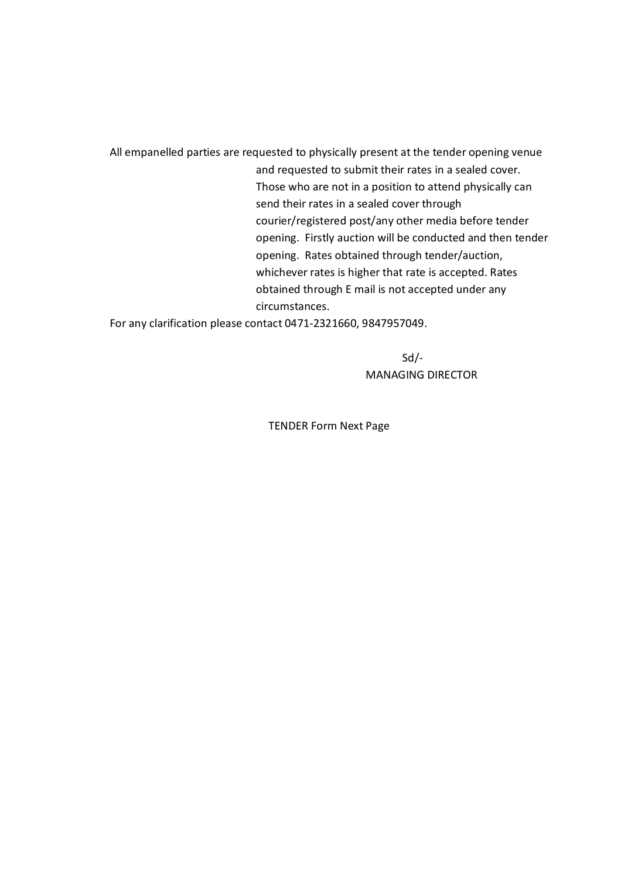All empanelled parties are requested to physically present at the tender opening venue and requested to submit their rates in a sealed cover. Those who are not in a position to attend physically can send their rates in a sealed cover through courier/registered post/any other media before tender opening. Firstly auction will be conducted and then tender opening. Rates obtained through tender/auction, whichever rates is higher that rate is accepted. Rates obtained through E mail is not accepted under any circumstances.

For any clarification please contact 0471-2321660, 9847957049.

Sd/- MANAGING DIRECTOR

TENDER Form Next Page